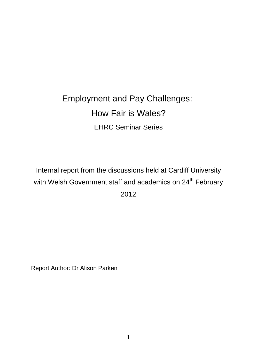# Employment and Pay Challenges: How Fair is Wales? EHRC Seminar Series

Internal report from the discussions held at Cardiff University with Welsh Government staff and academics on 24<sup>th</sup> February 2012

Report Author: Dr Alison Parken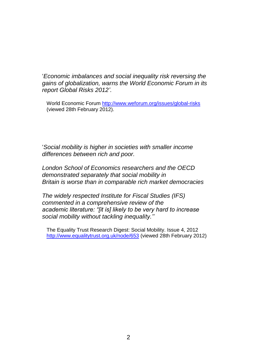'*Economic imbalances and social inequality risk reversing the gains of globalization, warns the World Economic Forum in its report Global Risks 2012'*.

World Economic Forum<http://www.weforum.org/issues/global-risks> (viewed 28th February 2012).

'*Social mobility is higher in societies with smaller income differences between rich and poor.*

*London School of Economics researchers and the OECD demonstrated separately that social mobility in Britain is worse than in comparable rich market democracies*

*The widely respected Institute for Fiscal Studies (IFS) commented in a comprehensive review of the academic literature: "[it is] likely to be very hard to increase social mobility without tackling inequality.''* 

The Equality Trust Research Digest: Social Mobility. Issue 4, 2012 <http://www.equalitytrust.org.uk/node/653> (viewed 28th February 2012)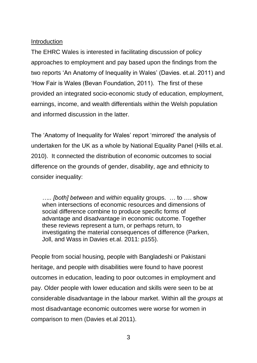### Introduction

The EHRC Wales is interested in facilitating discussion of policy approaches to employment and pay based upon the findings from the two reports 'An Anatomy of Inequality in Wales' (Davies. et.al. 2011) and 'How Fair is Wales (Bevan Foundation, 2011). The first of these provided an integrated socio-economic study of education, employment, earnings, income, and wealth differentials within the Welsh population and informed discussion in the latter.

The 'Anatomy of Inequality for Wales' report 'mirrored' the analysis of undertaken for the UK as a whole by National Equality Panel (Hills et.al. 2010). It connected the distribution of economic outcomes to social difference on the grounds of gender, disability, age and ethnicity to consider inequality:

*….. [both] between* and *within* equality groups. … to …. show when intersections of economic resources and dimensions of social difference combine to produce specific forms of advantage and disadvantage in economic outcome. Together these reviews represent a turn, or perhaps return, to investigating the material consequences of difference (Parken, Joll, and Wass in Davies et.al. 2011: p155).

People from social housing, people with Bangladeshi or Pakistani heritage, and people with disabilities were found to have poorest outcomes in education, leading to poor outcomes in employment and pay. Older people with lower education and skills were seen to be at considerable disadvantage in the labour market. Within all the *groups* at most disadvantage economic outcomes were worse for women in comparison to men (Davies et.al 2011).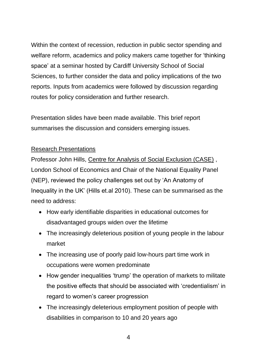Within the context of recession, reduction in public sector spending and welfare reform, academics and policy makers came together for 'thinking space' at a seminar hosted by Cardiff University School of Social Sciences, to further consider the data and policy implications of the two reports. Inputs from academics were followed by discussion regarding routes for policy consideration and further research.

Presentation slides have been made available. This brief report summarises the discussion and considers emerging issues.

# Research Presentations

Professor John Hills, [Centre for Analysis of Social Exclusion \(CASE\)](http://www2.lse.ac.uk/researchAndExpertise/Experts/departments.aspx?dept=11) , London School of Economics and Chair of the National Equality Panel (NEP), reviewed the policy challenges set out by 'An Anatomy of Inequality in the UK' (Hills et.al 2010). These can be summarised as the need to address:

- How early identifiable disparities in educational outcomes for disadvantaged groups widen over the lifetime
- The increasingly deleterious position of young people in the labour market
- The increasing use of poorly paid low-hours part time work in occupations were women predominate
- How gender inequalities 'trump' the operation of markets to militate the positive effects that should be associated with 'credentialism' in regard to women's career progression
- The increasingly deleterious employment position of people with disabilities in comparison to 10 and 20 years ago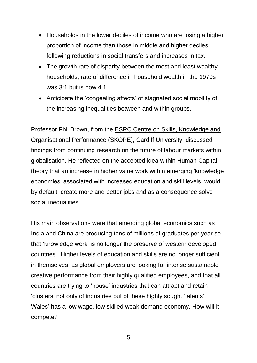- Households in the lower deciles of income who are losing a higher proportion of income than those in middle and higher deciles following reductions in social transfers and increases in tax.
- The growth rate of disparity between the most and least wealthy households; rate of difference in household wealth in the 1970s was 3:1 but is now 4:1
- Anticipate the 'congealing affects' of stagnated social mobility of the increasing inequalities between and within groups.

Professor Phil Brown, from the [ESRC Centre on Skills, Knowledge and](http://www.cf.ac.uk/socsi/research/researchcentres/skope/index.html)  [Organisational Performance \(SKOPE\),](http://www.cf.ac.uk/socsi/research/researchcentres/skope/index.html) Cardiff University, discussed findings from continuing research on the future of labour markets within globalisation. He reflected on the accepted idea within Human Capital theory that an increase in higher value work within emerging 'knowledge economies' associated with increased education and skill levels, would, by default, create more and better jobs and as a consequence solve social inequalities.

His main observations were that emerging global economics such as India and China are producing tens of millions of graduates per year so that 'knowledge work' is no longer the preserve of western developed countries. Higher levels of education and skills are no longer sufficient in themselves, as global employers are looking for intense sustainable creative performance from their highly qualified employees, and that all countries are trying to 'house' industries that can attract and retain 'clusters' not only of industries but of these highly sought 'talents'. Wales' has a low wage, low skilled weak demand economy. How will it compete?

5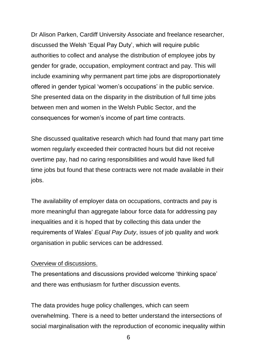Dr Alison Parken, Cardiff University Associate and freelance researcher, discussed the Welsh 'Equal Pay Duty', which will require public authorities to collect and analyse the distribution of employee jobs by gender for grade, occupation, employment contract and pay. This will include examining why permanent part time jobs are disproportionately offered in gender typical 'women's occupations' in the public service. She presented data on the disparity in the distribution of full time jobs between men and women in the Welsh Public Sector, and the consequences for women's income of part time contracts.

She discussed qualitative research which had found that many part time women regularly exceeded their contracted hours but did not receive overtime pay, had no caring responsibilities and would have liked full time jobs but found that these contracts were not made available in their jobs.

The availability of employer data on occupations, contracts and pay is more meaningful than aggregate labour force data for addressing pay inequalities and it is hoped that by collecting this data under the requirements of Wales' *Equal Pay Duty*, issues of job quality and work organisation in public services can be addressed.

#### Overview of discussions.

The presentations and discussions provided welcome 'thinking space' and there was enthusiasm for further discussion events.

The data provides huge policy challenges, which can seem overwhelming. There is a need to better understand the intersections of social marginalisation with the reproduction of economic inequality within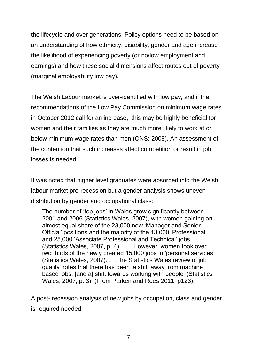the lifecycle and over generations. Policy options need to be based on an understanding of how ethnicity, disability, gender and age increase the likelihood of experiencing poverty (or no/low employment and earnings) and how these social dimensions affect routes out of poverty (marginal employability low pay).

The Welsh Labour market is over-identified with low pay, and if the recommendations of the Low Pay Commission on minimum wage rates in October 2012 call for an increase, this may be highly beneficial for women and their families as they are much more likely to work at or below minimum wage rates than men (ONS: 2008). An assessment of the contention that such increases affect competition or result in job losses is needed.

It was noted that higher level graduates were absorbed into the Welsh labour market pre-recession but a gender analysis shows uneven distribution by gender and occupational class:

The number of 'top jobs' in Wales grew significantly between 2001 and 2006 (Statistics Wales, 2007), with women gaining an almost equal share of the 23,000 new 'Manager and Senior Official' positions and the majority of the 13,000 'Professional' and 25,000 'Associate Professional and Technical' jobs (Statistics Wales, 2007, p. 4). …. However, women took over two thirds of the newly created 15,000 jobs in 'personal services' (Statistics Wales, 2007). …. the Statistics Wales review of job quality notes that there has been 'a shift away from machine based jobs, [and a] shift towards working with people' (Statistics Wales, 2007, p. 3). (From Parken and Rees 2011, p123).

A post- recession analysis of new jobs by occupation, class and gender is required needed.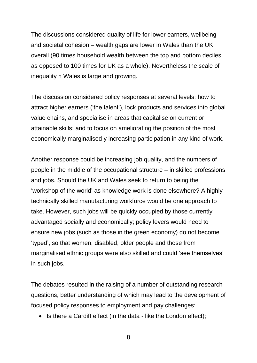The discussions considered quality of life for lower earners, wellbeing and societal cohesion – wealth gaps are lower in Wales than the UK overall (90 times household wealth between the top and bottom deciles as opposed to 100 times for UK as a whole). Nevertheless the scale of inequality n Wales is large and growing.

The discussion considered policy responses at several levels: how to attract higher earners ('the talent'), lock products and services into global value chains, and specialise in areas that capitalise on current or attainable skills; and to focus on ameliorating the position of the most economically marginalised y increasing participation in any kind of work.

Another response could be increasing job quality, and the numbers of people in the middle of the occupational structure – in skilled professions and jobs. Should the UK and Wales seek to return to being the 'workshop of the world' as knowledge work is done elsewhere? A highly technically skilled manufacturing workforce would be one approach to take. However, such jobs will be quickly occupied by those currently advantaged socially and economically; policy levers would need to ensure new jobs (such as those in the green economy) do not become 'typed', so that women, disabled, older people and those from marginalised ethnic groups were also skilled and could 'see themselves' in such jobs.

The debates resulted in the raising of a number of outstanding research questions, better understanding of which may lead to the development of focused policy responses to employment and pay challenges:

• Is there a Cardiff effect (in the data - like the London effect);

8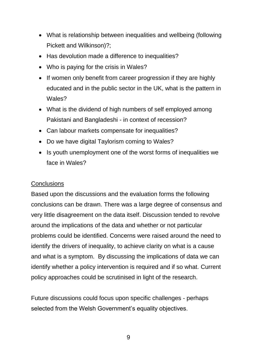- What is relationship between inequalities and wellbeing (following Pickett and Wilkinson)?;
- Has devolution made a difference to inequalities?
- Who is paying for the crisis in Wales?
- If women only benefit from career progression if they are highly educated and in the public sector in the UK, what is the pattern in Wales?
- What is the dividend of high numbers of self employed among Pakistani and Bangladeshi - in context of recession?
- Can labour markets compensate for inequalities?
- Do we have digital Taylorism coming to Wales?
- Is youth unemployment one of the worst forms of inequalities we face in Wales?

## **Conclusions**

Based upon the discussions and the evaluation forms the following conclusions can be drawn. There was a large degree of consensus and very little disagreement on the data itself. Discussion tended to revolve around the implications of the data and whether or not particular problems could be identified. Concerns were raised around the need to identify the drivers of inequality, to achieve clarity on what is a cause and what is a symptom. By discussing the implications of data we can identify whether a policy intervention is required and if so what. Current policy approaches could be scrutinised in light of the research.

Future discussions could focus upon specific challenges - perhaps selected from the Welsh Government's equality objectives.